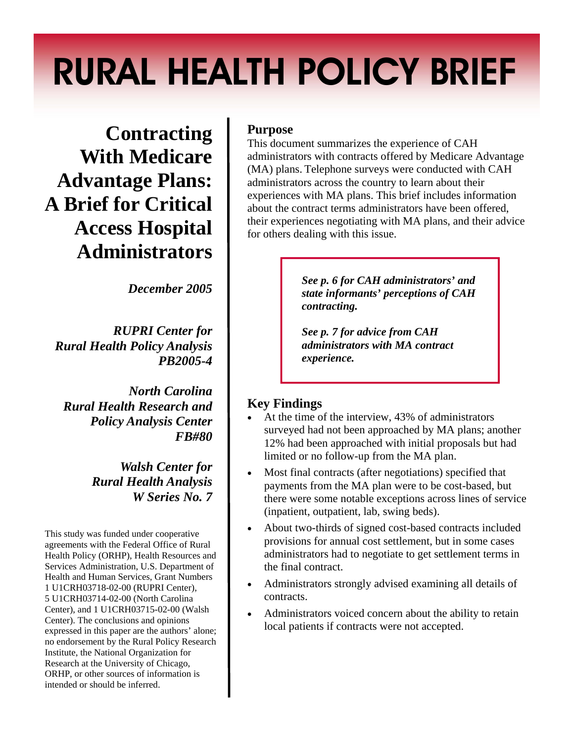# RURAL HEALTH POLICY BRIEF

**Contracting With Medicare Advantage Plans: A Brief for Critical Access Hospital Administrators** 

*December 2005* 

*RUPRI Center for Rural Health Policy Analysis PB2005-4* 

*North Carolina Rural Health Research and Policy Analysis Center FB#80* 

> *Walsh Center for Rural Health Analysis W Series No. 7*

This study was funded under cooperative agreements with the Federal Office of Rural Health Policy (ORHP), Health Resources and Services Administration, U.S. Department of Health and Human Services, Grant Numbers 1 U1CRH03718-02-00 (RUPRI Center), 5 U1CRH03714-02-00 (North Carolina Center), and 1 U1CRH03715-02-00 (Walsh Center). The conclusions and opinions expressed in this paper are the authors' alone; no endorsement by the Rural Policy Research Institute, the National Organization for Research at the University of Chicago, ORHP, or other sources of information is intended or should be inferred.

# **Purpose**

This document summarizes the experience of CAH administrators with contracts offered by Medicare Advantage (MA) plans. Telephone surveys were conducted with CAH administrators across the country to learn about their experiences with MA plans. This brief includes information about the contract terms administrators have been offered, their experiences negotiating with MA plans, and their advice for others dealing with this issue.

> *See p. 6 for CAH administrators' and state informants' perceptions of CAH contracting.*

*See p. 7 for advice from CAH administrators with MA contract experience.* 

# **Key Findings**

- At the time of the interview, 43% of administrators surveyed had not been approached by MA plans; another 12% had been approached with initial proposals but had limited or no follow-up from the MA plan.
- Most final contracts (after negotiations) specified that payments from the MA plan were to be cost-based, but there were some notable exceptions across lines of service (inpatient, outpatient, lab, swing beds).
- About two-thirds of signed cost-based contracts included provisions for annual cost settlement, but in some cases administrators had to negotiate to get settlement terms in the final contract.
- Administrators strongly advised examining all details of contracts.
- Administrators voiced concern about the ability to retain local patients if contracts were not accepted.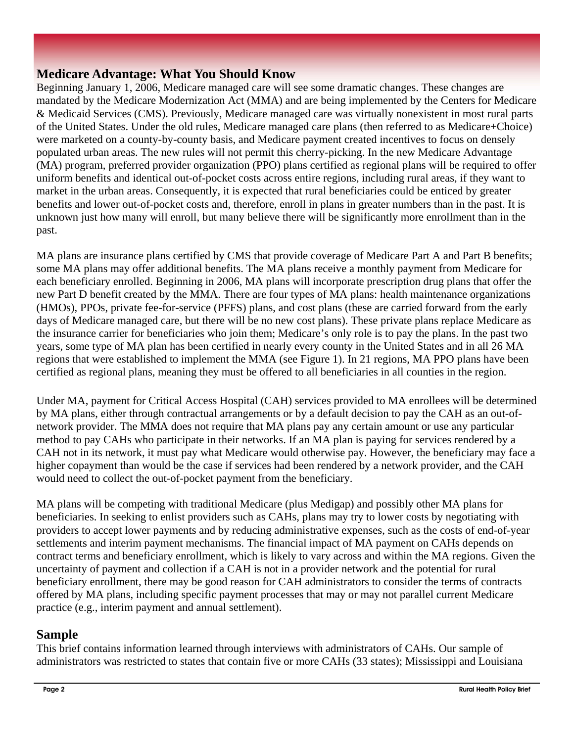# **Medicare Advantage: What You Should Know**

Beginning January 1, 2006, Medicare managed care will see some dramatic changes. These changes are mandated by the Medicare Modernization Act (MMA) and are being implemented by the Centers for Medicare & Medicaid Services (CMS). Previously, Medicare managed care was virtually nonexistent in most rural parts of the United States. Under the old rules, Medicare managed care plans (then referred to as Medicare+Choice) were marketed on a county-by-county basis, and Medicare payment created incentives to focus on densely populated urban areas. The new rules will not permit this cherry-picking. In the new Medicare Advantage (MA) program, preferred provider organization (PPO) plans certified as regional plans will be required to offer uniform benefits and identical out-of-pocket costs across entire regions, including rural areas, if they want to market in the urban areas. Consequently, it is expected that rural beneficiaries could be enticed by greater benefits and lower out-of-pocket costs and, therefore, enroll in plans in greater numbers than in the past. It is unknown just how many will enroll, but many believe there will be significantly more enrollment than in the past.

MA plans are insurance plans certified by CMS that provide coverage of Medicare Part A and Part B benefits; some MA plans may offer additional benefits. The MA plans receive a monthly payment from Medicare for each beneficiary enrolled. Beginning in 2006, MA plans will incorporate prescription drug plans that offer the new Part D benefit created by the MMA. There are four types of MA plans: health maintenance organizations (HMOs), PPOs, private fee-for-service (PFFS) plans, and cost plans (these are carried forward from the early days of Medicare managed care, but there will be no new cost plans). These private plans replace Medicare as the insurance carrier for beneficiaries who join them; Medicare's only role is to pay the plans. In the past two years, some type of MA plan has been certified in nearly every county in the United States and in all 26 MA regions that were established to implement the MMA (see Figure 1). In 21 regions, MA PPO plans have been certified as regional plans, meaning they must be offered to all beneficiaries in all counties in the region.

Under MA, payment for Critical Access Hospital (CAH) services provided to MA enrollees will be determined by MA plans, either through contractual arrangements or by a default decision to pay the CAH as an out-ofnetwork provider. The MMA does not require that MA plans pay any certain amount or use any particular method to pay CAHs who participate in their networks. If an MA plan is paying for services rendered by a CAH not in its network, it must pay what Medicare would otherwise pay. However, the beneficiary may face a higher copayment than would be the case if services had been rendered by a network provider, and the CAH would need to collect the out-of-pocket payment from the beneficiary.

MA plans will be competing with traditional Medicare (plus Medigap) and possibly other MA plans for beneficiaries. In seeking to enlist providers such as CAHs, plans may try to lower costs by negotiating with providers to accept lower payments and by reducing administrative expenses, such as the costs of end-of-year settlements and interim payment mechanisms. The financial impact of MA payment on CAHs depends on contract terms and beneficiary enrollment, which is likely to vary across and within the MA regions. Given the uncertainty of payment and collection if a CAH is not in a provider network and the potential for rural beneficiary enrollment, there may be good reason for CAH administrators to consider the terms of contracts offered by MA plans, including specific payment processes that may or may not parallel current Medicare practice (e.g., interim payment and annual settlement).

# **Sample**

This brief contains information learned through interviews with administrators of CAHs. Our sample of administrators was restricted to states that contain five or more CAHs (33 states); Mississippi and Louisiana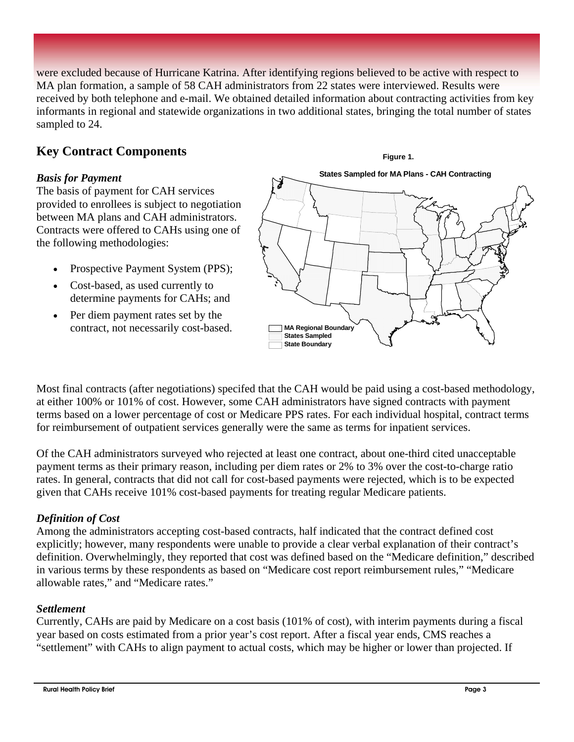were excluded because of Hurricane Katrina. After identifying regions believed to be active with respect to MA plan formation, a sample of 58 CAH administrators from 22 states were interviewed. Results were received by both telephone and e-mail. We obtained detailed information about contracting activities from key informants in regional and statewide organizations in two additional states, bringing the total number of states sampled to 24.

# **Key Contract Components**

#### *Basis for Payment*

The basis of payment for CAH services provided to enrollees is subject to negotiation between MA plans and CAH administrators. Contracts were offered to CAHs using one of the following methodologies:

- Prospective Payment System (PPS);
- Cost-based, as used currently to determine payments for CAHs; and
- Per diem payment rates set by the contract, not necessarily cost-based.



Most final contracts (after negotiations) specifed that the CAH would be paid using a cost-based methodology, at either 100% or 101% of cost. However, some CAH administrators have signed contracts with payment terms based on a lower percentage of cost or Medicare PPS rates. For each individual hospital, contract terms for reimbursement of outpatient services generally were the same as terms for inpatient services.

Of the CAH administrators surveyed who rejected at least one contract, about one-third cited unacceptable payment terms as their primary reason, including per diem rates or 2% to 3% over the cost-to-charge ratio rates. In general, contracts that did not call for cost-based payments were rejected, which is to be expected given that CAHs receive 101% cost-based payments for treating regular Medicare patients.

#### *Definition of Cost*

Among the administrators accepting cost-based contracts, half indicated that the contract defined cost explicitly; however, many respondents were unable to provide a clear verbal explanation of their contract's definition. Overwhelmingly, they reported that cost was defined based on the "Medicare definition," described in various terms by these respondents as based on "Medicare cost report reimbursement rules," "Medicare allowable rates," and "Medicare rates."

#### *Settlement*

Currently, CAHs are paid by Medicare on a cost basis (101% of cost), with interim payments during a fiscal year based on costs estimated from a prior year's cost report. After a fiscal year ends, CMS reaches a "settlement" with CAHs to align payment to actual costs, which may be higher or lower than projected. If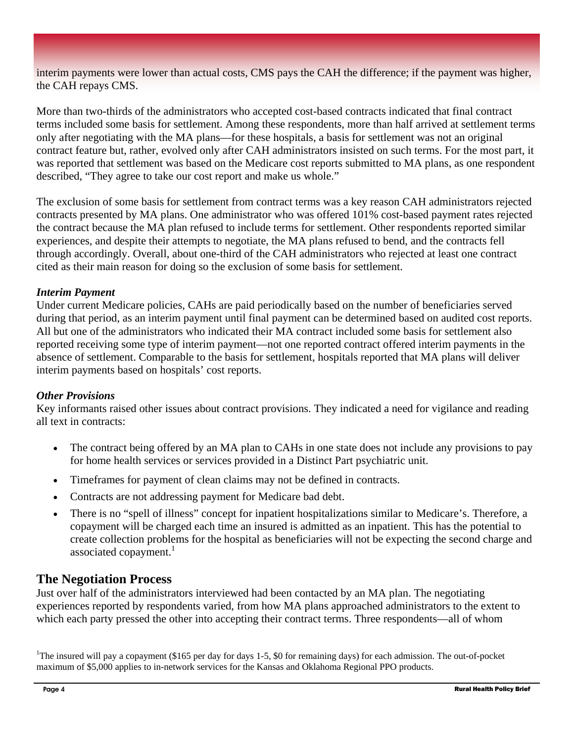interim payments were lower than actual costs, CMS pays the CAH the difference; if the payment was higher, the CAH repays CMS.

More than two-thirds of the administrators who accepted cost-based contracts indicated that final contract terms included some basis for settlement. Among these respondents, more than half arrived at settlement terms only after negotiating with the MA plans—for these hospitals, a basis for settlement was not an original contract feature but, rather, evolved only after CAH administrators insisted on such terms. For the most part, it was reported that settlement was based on the Medicare cost reports submitted to MA plans, as one respondent described, "They agree to take our cost report and make us whole."

The exclusion of some basis for settlement from contract terms was a key reason CAH administrators rejected contracts presented by MA plans. One administrator who was offered 101% cost-based payment rates rejected the contract because the MA plan refused to include terms for settlement. Other respondents reported similar experiences, and despite their attempts to negotiate, the MA plans refused to bend, and the contracts fell through accordingly. Overall, about one-third of the CAH administrators who rejected at least one contract cited as their main reason for doing so the exclusion of some basis for settlement.

#### *Interim Payment*

Under current Medicare policies, CAHs are paid periodically based on the number of beneficiaries served during that period, as an interim payment until final payment can be determined based on audited cost reports. All but one of the administrators who indicated their MA contract included some basis for settlement also reported receiving some type of interim payment—not one reported contract offered interim payments in the absence of settlement. Comparable to the basis for settlement, hospitals reported that MA plans will deliver interim payments based on hospitals' cost reports.

#### *Other Provisions*

Key informants raised other issues about contract provisions. They indicated a need for vigilance and reading all text in contracts:

- The contract being offered by an MA plan to CAHs in one state does not include any provisions to pay for home health services or services provided in a Distinct Part psychiatric unit.
- Timeframes for payment of clean claims may not be defined in contracts.
- Contracts are not addressing payment for Medicare bad debt.
- There is no "spell of illness" concept for inpatient hospitalizations similar to Medicare's. Therefore, a copayment will be charged each time an insured is admitted as an inpatient. This has the potential to create collection problems for the hospital as beneficiaries will not be expecting the second charge and associated copayment. $<sup>1</sup>$ </sup>

#### **The Negotiation Process**

Just over half of the administrators interviewed had been contacted by an MA plan. The negotiating experiences reported by respondents varied, from how MA plans approached administrators to the extent to which each party pressed the other into accepting their contract terms. Three respondents—all of whom

<sup>1</sup>The insured will pay a copayment (\$165 per day for days 1-5, \$0 for remaining days) for each admission. The out-of-pocket maximum of \$5,000 applies to in-network services for the Kansas and Oklahoma Regional PPO products.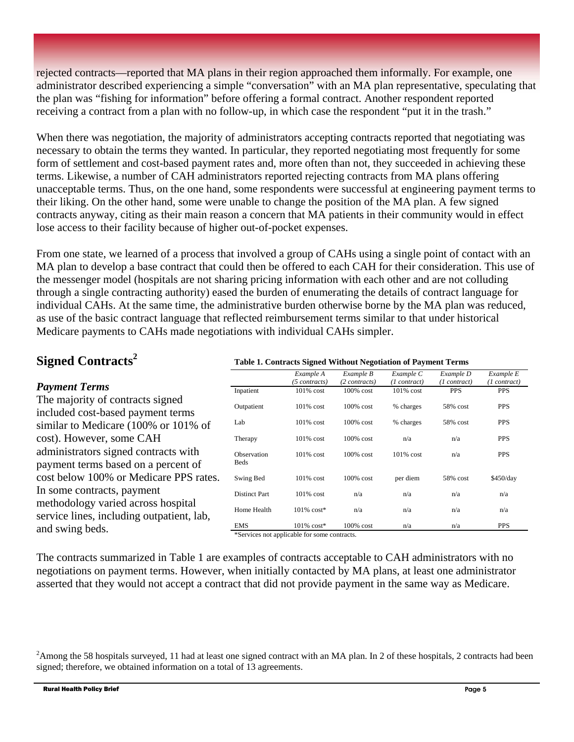rejected contracts—reported that MA plans in their region approached them informally. For example, one administrator described experiencing a simple "conversation" with an MA plan representative, speculating that the plan was "fishing for information" before offering a formal contract. Another respondent reported receiving a contract from a plan with no follow-up, in which case the respondent "put it in the trash."

When there was negotiation, the majority of administrators accepting contracts reported that negotiating was necessary to obtain the terms they wanted. In particular, they reported negotiating most frequently for some form of settlement and cost-based payment rates and, more often than not, they succeeded in achieving these terms. Likewise, a number of CAH administrators reported rejecting contracts from MA plans offering unacceptable terms. Thus, on the one hand, some respondents were successful at engineering payment terms to their liking. On the other hand, some were unable to change the position of the MA plan. A few signed contracts anyway, citing as their main reason a concern that MA patients in their community would in effect lose access to their facility because of higher out-of-pocket expenses.

From one state, we learned of a process that involved a group of CAHs using a single point of contact with an MA plan to develop a base contract that could then be offered to each CAH for their consideration. This use of the messenger model (hospitals are not sharing pricing information with each other and are not colluding through a single contracting authority) eased the burden of enumerating the details of contract language for individual CAHs. At the same time, the administrative burden otherwise borne by the MA plan was reduced, as use of the basic contract language that reflected reimbursement terms similar to that under historical Medicare payments to CAHs made negotiations with individual CAHs simpler.

**Table 1. Contracts Signed Without Negotiation of Payment Terms** 

# **Signed Contracts<sup>2</sup>**

#### *Payment Terms*  The majority of contracts signed included cost-based payment terms similar to Medicare (100% or 101% of cost). However, some CAH administrators signed contracts with payment terms based on a percent of cost below 100% or Medicare PPS rates. In some contracts, payment methodology varied across hospital service lines, including outpatient, lab, and swing beds. *Example A (5 contracts) Example B (2 contracts) Example C (1 contract) Example D (1 contract) Example E (1 contract)*  Inpatient 101% cost 100% cost 101% cost PPS PPS Outpatient 101% cost 100% cost % charges 58% cost PPS Lab 101% cost 100% cost % charges 58% cost PPS Therapy 101% cost 100% cost n/a n/a PPS Observation Beds 101% cost 100% cost 101% cost n/a PPS Swing Bed 101% cost 100% cost per diem 58% cost \$450/day Distinct Part 101% cost n/a n/a n/a n/a n/a Home Health  $101\% \cos t^*$  n/a n/a n/a n/a n/a EMS 101% cost\* 100% cost n/a n/a PPS \*Services not applicable for some contracts.

The contracts summarized in Table 1 are examples of contracts acceptable to CAH administrators with no negotiations on payment terms. However, when initially contacted by MA plans, at least one administrator asserted that they would not accept a contract that did not provide payment in the same way as Medicare.

<sup>&</sup>lt;sup>2</sup>Among the 58 hospitals surveyed, 11 had at least one signed contract with an MA plan. In 2 of these hospitals, 2 contracts had been signed; therefore, we obtained information on a total of 13 agreements.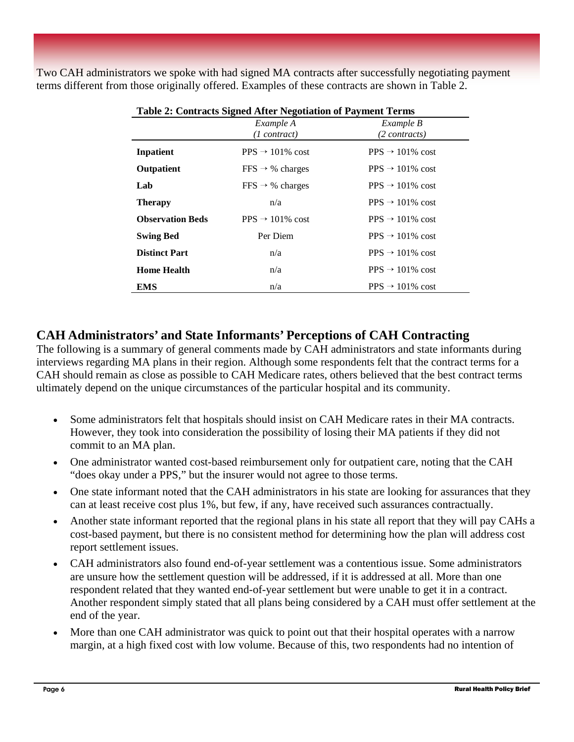Two CAH administrators we spoke with had signed MA contracts after successfully negotiating payment terms different from those originally offered. Examples of these contracts are shown in Table 2.

| <b>Table 2: Contracts Signed After Negotiation of Payment Terms</b> |                              |                              |  |  |  |
|---------------------------------------------------------------------|------------------------------|------------------------------|--|--|--|
|                                                                     | Example A<br>$(1$ contract)  | Example B<br>(2 contracts)   |  |  |  |
| Inpatient                                                           | $PPS \rightarrow 101\%$ cost | $PPS \rightarrow 101\%$ cost |  |  |  |
| Outpatient                                                          | $FFS \rightarrow \%$ charges | $PPS \rightarrow 101\%$ cost |  |  |  |
| Lab                                                                 | $FFS \rightarrow \%$ charges | $PPS \rightarrow 101\%$ cost |  |  |  |
| <b>Therapy</b>                                                      | n/a                          | $PPS \rightarrow 101\%$ cost |  |  |  |
| <b>Observation Beds</b>                                             | $PPS \rightarrow 101\%$ cost | $PPS \rightarrow 101\%$ cost |  |  |  |
| <b>Swing Bed</b>                                                    | Per Diem                     | $PPS \rightarrow 101\%$ cost |  |  |  |
| <b>Distinct Part</b>                                                | n/a                          | $PPS \rightarrow 101\%$ cost |  |  |  |
| <b>Home Health</b>                                                  | n/a                          | $PPS \rightarrow 101\%$ cost |  |  |  |
| EMS                                                                 | n/a                          | $PPS \rightarrow 101\%$ cost |  |  |  |

|  |  | Table 2: Contracts Signed After Negotiation of Payment Terms |  |
|--|--|--------------------------------------------------------------|--|
|  |  |                                                              |  |

# **CAH Administrators' and State Informants' Perceptions of CAH Contracting**

The following is a summary of general comments made by CAH administrators and state informants during interviews regarding MA plans in their region. Although some respondents felt that the contract terms for a CAH should remain as close as possible to CAH Medicare rates, others believed that the best contract terms ultimately depend on the unique circumstances of the particular hospital and its community.

- Some administrators felt that hospitals should insist on CAH Medicare rates in their MA contracts. However, they took into consideration the possibility of losing their MA patients if they did not commit to an MA plan.
- One administrator wanted cost-based reimbursement only for outpatient care, noting that the CAH "does okay under a PPS," but the insurer would not agree to those terms.
- One state informant noted that the CAH administrators in his state are looking for assurances that they can at least receive cost plus 1%, but few, if any, have received such assurances contractually.
- Another state informant reported that the regional plans in his state all report that they will pay CAHs a cost-based payment, but there is no consistent method for determining how the plan will address cost report settlement issues.
- CAH administrators also found end-of-year settlement was a contentious issue. Some administrators are unsure how the settlement question will be addressed, if it is addressed at all. More than one respondent related that they wanted end-of-year settlement but were unable to get it in a contract. Another respondent simply stated that all plans being considered by a CAH must offer settlement at the end of the year.
- More than one CAH administrator was quick to point out that their hospital operates with a narrow margin, at a high fixed cost with low volume. Because of this, two respondents had no intention of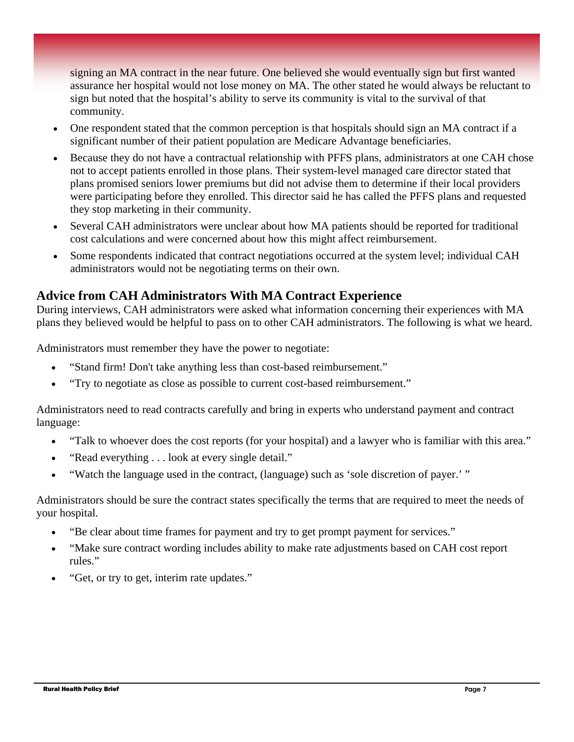signing an MA contract in the near future. One believed she would eventually sign but first wanted assurance her hospital would not lose money on MA. The other stated he would always be reluctant to sign but noted that the hospital's ability to serve its community is vital to the survival of that community.

- One respondent stated that the common perception is that hospitals should sign an MA contract if a significant number of their patient population are Medicare Advantage beneficiaries.
- Because they do not have a contractual relationship with PFFS plans, administrators at one CAH chose not to accept patients enrolled in those plans. Their system-level managed care director stated that plans promised seniors lower premiums but did not advise them to determine if their local providers were participating before they enrolled. This director said he has called the PFFS plans and requested they stop marketing in their community.
- Several CAH administrators were unclear about how MA patients should be reported for traditional cost calculations and were concerned about how this might affect reimbursement.
- Some respondents indicated that contract negotiations occurred at the system level; individual CAH administrators would not be negotiating terms on their own.

# **Advice from CAH Administrators With MA Contract Experience**

During interviews, CAH administrators were asked what information concerning their experiences with MA plans they believed would be helpful to pass on to other CAH administrators. The following is what we heard.

Administrators must remember they have the power to negotiate:

- "Stand firm! Don't take anything less than cost-based reimbursement."
- "Try to negotiate as close as possible to current cost-based reimbursement."

Administrators need to read contracts carefully and bring in experts who understand payment and contract language:

- "Talk to whoever does the cost reports (for your hospital) and a lawyer who is familiar with this area."
- "Read everything . . . look at every single detail."
- "Watch the language used in the contract, (language) such as 'sole discretion of payer.' "

Administrators should be sure the contract states specifically the terms that are required to meet the needs of your hospital.

- "Be clear about time frames for payment and try to get prompt payment for services."
- "Make sure contract wording includes ability to make rate adjustments based on CAH cost report rules."
- "Get, or try to get, interim rate updates."